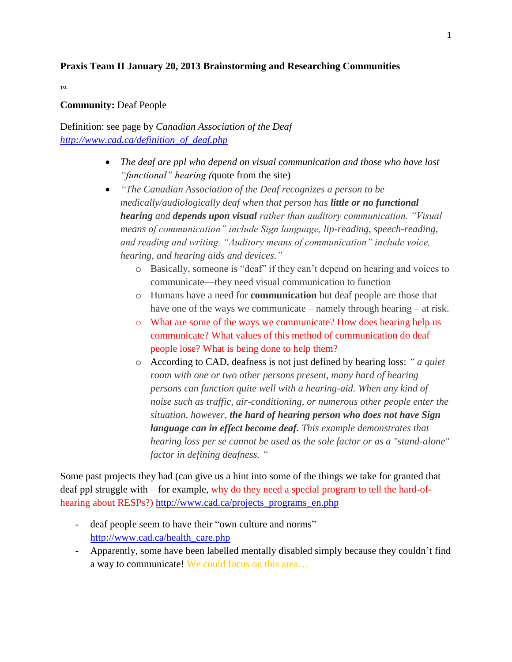## **Praxis Team II January 20, 2013 Brainstorming and Researching Communities**

**TO.**

## **Community:** Deaf People

Definition: see page by *Canadian Association of the Deaf [http://www.cad.ca/definition\\_of\\_deaf.php](http://www.cad.ca/definition_of_deaf.php)*

- *The deaf are ppl who depend on visual communication and those who have lost "functional" hearing (*quote from the site)
- *"The Canadian Association of the Deaf recognizes a person to be medically/audiologically deaf when that person has little or no functional hearing and depends upon visual rather than auditory communication. "Visual means of communication" include Sign language, lip-reading, speech-reading, and reading and writing. "Auditory means of communication" include voice, hearing, and hearing aids and devices."*
	- o Basically, someone is "deaf" if they can't depend on hearing and voices to communicate—they need visual communication to function
	- o Humans have a need for **communication** but deaf people are those that have one of the ways we communicate – namely through hearing – at risk.
	- o What are some of the ways we communicate? How does hearing help us communicate? What values of this method of communication do deaf people lose? What is being done to help them?
	- o According to CAD, deafness is not just defined by hearing loss: *" a quiet room with one or two other persons present, many hard of hearing persons can function quite well with a hearing-aid. When any kind of noise such as traffic, air-conditioning, or numerous other people enter the situation, however, the hard of hearing person who does not have Sign language can in effect become deaf. This example demonstrates that hearing loss per se cannot be used as the sole factor or as a "stand-alone" factor in defining deafness. "*

Some past projects they had (can give us a hint into some of the things we take for granted that deaf ppl struggle with – for example, why do they need a special program to tell the hard-ofhearing about RESPs?) [http://www.cad.ca/projects\\_programs\\_en.php](http://www.cad.ca/projects_programs_en.php)

- deaf people seem to have their "own culture and norms" [http://www.cad.ca/health\\_care.php](http://www.cad.ca/health_care.php)
- Apparently, some have been labelled mentally disabled simply because they couldn't find a way to communicate! We could focus on this area…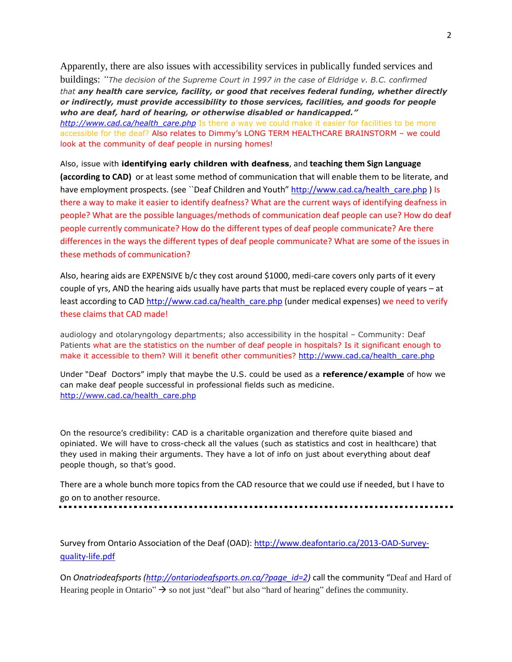Apparently, there are also issues with accessibility services in publically funded services and buildings: *"The decision of the Supreme Court in 1997 in the case of Eldridge v. B.C. confirmed that any health care service, facility, or good that receives federal funding, whether directly or indirectly, must provide accessibility to those services, facilities, and goods for people who are deaf, hard of hearing, or otherwise disabled or handicapped."*

[http://www.cad.ca/health\\_care.php](http://www.cad.ca/health_care.php) Is there a way we could make it easier for facilities to be more accessible for the deaf? Also relates to Dimmy's LONG TERM HEALTHCARE BRAINSTORM – we could look at the community of deaf people in nursing homes!

Also, issue with **identifying early children with deafness**, and **teaching them Sign Language (according to CAD)** or at least some method of communication that will enable them to be literate, and have employment prospects. (see ``Deaf Children and Youth" [http://www.cad.ca/health\\_care.php](http://www.cad.ca/health_care.php) ) Is there a way to make it easier to identify deafness? What are the current ways of identifying deafness in people? What are the possible languages/methods of communication deaf people can use? How do deaf people currently communicate? How do the different types of deaf people communicate? Are there differences in the ways the different types of deaf people communicate? What are some of the issues in these methods of communication?

Also, hearing aids are EXPENSIVE b/c they cost around \$1000, medi-care covers only parts of it every couple of yrs, AND the hearing aids usually have parts that must be replaced every couple of years – at least according to CAD [http://www.cad.ca/health\\_care.php](http://www.cad.ca/health_care.php) (under medical expenses) we need to verify these claims that CAD made!

audiology and otolaryngology departments; also accessibility in the hospital – Community: Deaf Patients what are the statistics on the number of deaf people in hospitals? Is it significant enough to make it accessible to them? Will it benefit other communities? [http://www.cad.ca/health\\_care.php](http://www.cad.ca/health_care.php)

Under "Deaf Doctors" imply that maybe the U.S. could be used as a **reference/example** of how we can make deaf people successful in professional fields such as medicine. [http://www.cad.ca/health\\_care.php](http://www.cad.ca/health_care.php)

On the resource's credibility: CAD is a charitable organization and therefore quite biased and opiniated. We will have to cross-check all the values (such as statistics and cost in healthcare) that they used in making their arguments. They have a lot of info on just about everything about deaf people though, so that's good.

There are a whole bunch more topics from the CAD resource that we could use if needed, but I have to go on to another resource.

Survey from Ontario Association of the Deaf (OAD): [http://www.deafontario.ca/2013-OAD-Survey](http://www.deafontario.ca/2013-OAD-Survey-quality-life.pdf)[quality-life.pdf](http://www.deafontario.ca/2013-OAD-Survey-quality-life.pdf)

On *Onatriodeafsports [\(http://ontariodeafsports.on.ca/?page\\_id=2\)](http://ontariodeafsports.on.ca/?page_id=2)* call the community "Deaf and Hard of Hearing people in Ontario"  $\rightarrow$  so not just "deaf" but also "hard of hearing" defines the community.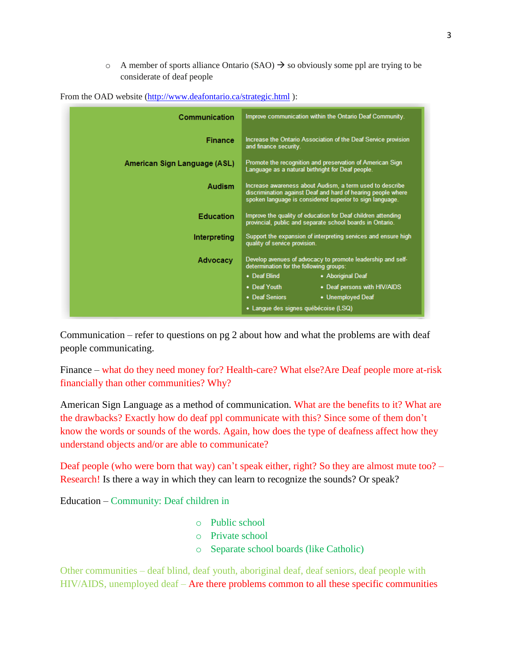$\circ$  A member of sports alliance Ontario (SAO)  $\rightarrow$  so obviously some ppl are trying to be considerate of deaf people

| Communication                | Improve communication within the Ontario Deaf Community.                                                                                                                             |
|------------------------------|--------------------------------------------------------------------------------------------------------------------------------------------------------------------------------------|
| <b>Finance</b>               | Increase the Ontario Association of the Deaf Service provision<br>and finance security.                                                                                              |
| American Sign Language (ASL) | Promote the recognition and preservation of American Sign<br>Language as a natural birthright for Deaf people.                                                                       |
| <b>Audism</b>                | Increase awareness about Audism, a term used to describe<br>discrimination against Deaf and hard of hearing people where<br>spoken language is considered superior to sign language. |
| <b>Education</b>             | Improve the quality of education for Deaf children attending<br>provincial, public and separate school boards in Ontario.                                                            |
| Interpreting                 | Support the expansion of interpreting services and ensure high<br>quality of service provision.                                                                                      |
| Advocacy                     | Develop avenues of advocacy to promote leadership and self-<br>determination for the following groups:                                                                               |
|                              | • Deaf Blind<br>• Aboriginal Deaf                                                                                                                                                    |
|                              | • Deaf Youth<br>• Deaf persons with HIV/AIDS                                                                                                                                         |
|                              | • Deaf Seniors<br>• Unemployed Deaf                                                                                                                                                  |
|                              | • Langue des signes québécoise (LSQ)                                                                                                                                                 |

From the OAD website [\(http://www.deafontario.ca/strategic.html](http://www.deafontario.ca/strategic.html)):

Communication – refer to questions on pg 2 about how and what the problems are with deaf people communicating.

Finance – what do they need money for? Health-care? What else?Are Deaf people more at-risk financially than other communities? Why?

American Sign Language as a method of communication. What are the benefits to it? What are the drawbacks? Exactly how do deaf ppl communicate with this? Since some of them don't know the words or sounds of the words. Again, how does the type of deafness affect how they understand objects and/or are able to communicate?

Deaf people (who were born that way) can't speak either, right? So they are almost mute too? – Research! Is there a way in which they can learn to recognize the sounds? Or speak?

Education – Community: Deaf children in

- o Public school
- o Private school
- o Separate school boards (like Catholic)

Other communities – deaf blind, deaf youth, aboriginal deaf, deaf seniors, deaf people with HIV/AIDS, unemployed deaf – Are there problems common to all these specific communities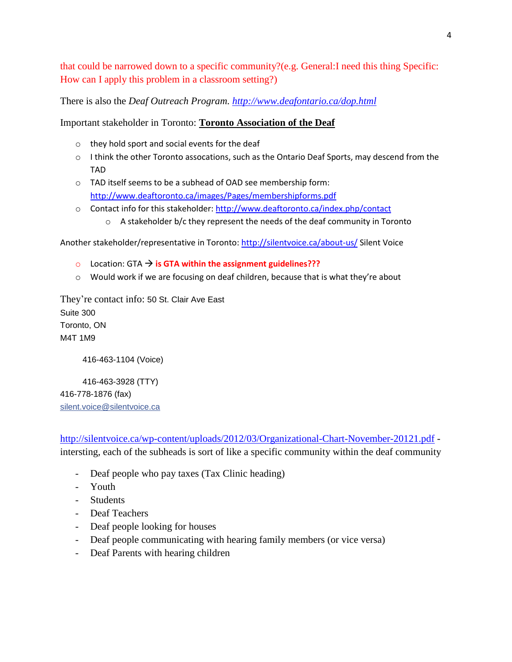that could be narrowed down to a specific community?(e.g. General:I need this thing Specific: How can I apply this problem in a classroom setting?)

There is also the *Deaf Outreach Program.<http://www.deafontario.ca/dop.html>*

## Important stakeholder in Toronto: **Toronto Association of the Deaf**

- o they hold sport and social events for the deaf
- $\circ$  I think the other Toronto assocations, such as the Ontario Deaf Sports, may descend from the TAD
- o TAD itself seems to be a subhead of OAD see membership form: <http://www.deaftoronto.ca/images/Pages/membershipforms.pdf>
- o Contact info for this stakeholder:<http://www.deaftoronto.ca/index.php/contact>
	- $\circ$  A stakeholder b/c they represent the needs of the deaf community in Toronto

Another stakeholder/representative in Toronto[: http://silentvoice.ca/about-us/](http://silentvoice.ca/about-us/) Silent Voice

- **o** Location: GTA  $\rightarrow$  is GTA within the assignment guidelines???
- $\circ$  Would work if we are focusing on deaf children, because that is what they're about

They're contact info: 50 St. Clair Ave East Suite 300 Toronto, ON M4T 1M9

416-463-1104 (Voice)

416-463-3928 (TTY) 416-778-1876 (fax) [silent.voice@silentvoice.ca](mailto:silent.voice@silentvoice.ca)

<http://silentvoice.ca/wp-content/uploads/2012/03/Organizational-Chart-November-20121.pdf> intersting, each of the subheads is sort of like a specific community within the deaf community

- Deaf people who pay taxes (Tax Clinic heading)
- Youth
- Students
- Deaf Teachers
- Deaf people looking for houses
- Deaf people communicating with hearing family members (or vice versa)
- Deaf Parents with hearing children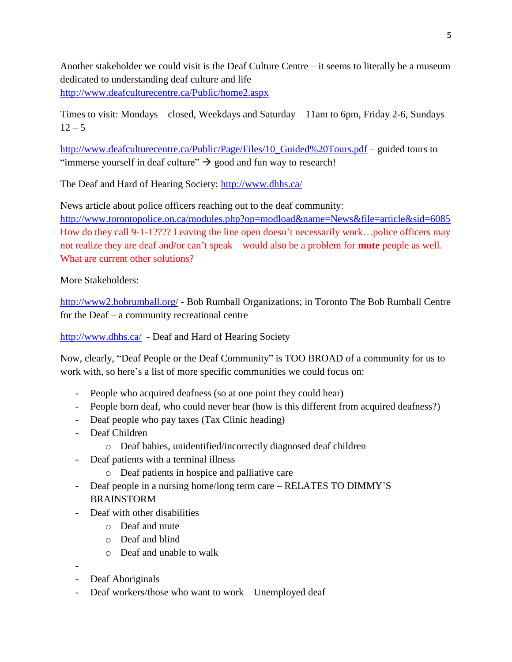Another stakeholder we could visit is the Deaf Culture Centre – it seems to literally be a museum dedicated to understanding deaf culture and life <http://www.deafculturecentre.ca/Public/home2.aspx>

Times to visit: Mondays – closed, Weekdays and Saturday – 11am to 6pm, Friday 2-6, Sundays  $12 - 5$ 

[http://www.deafculturecentre.ca/Public/Page/Files/10\\_Guided%20Tours.pdf](http://www.deafculturecentre.ca/Public/Page/Files/10_Guided%20Tours.pdf) – guided tours to "immerse yourself in deaf culture"  $\rightarrow$  good and fun way to research!

The Deaf and Hard of Hearing Society:<http://www.dhhs.ca/>

News article about police officers reaching out to the deaf community: <http://www.torontopolice.on.ca/modules.php?op=modload&name=News&file=article&sid=6085> How do they call 9-1-1???? Leaving the line open doesn't necessarily work…police officers may not realize they are deaf and/or can't speak – would also be a problem for **mute** people as well. What are current other solutions?

More Stakeholders:

<http://www2.bobrumball.org/> - Bob Rumball Organizations; in Toronto The Bob Rumball Centre for the Deaf – a community recreational centre

<http://www.dhhs.ca/> - Deaf and Hard of Hearing Society

Now, clearly, "Deaf People or the Deaf Community" is TOO BROAD of a community for us to work with, so here's a list of more specific communities we could focus on:

- People who acquired deafness (so at one point they could hear)
- People born deaf, who could never hear (how is this different from acquired deafness?)
- Deaf people who pay taxes (Tax Clinic heading)
- Deaf Children
	- o Deaf babies, unidentified/incorrectly diagnosed deaf children
- Deaf patients with a terminal illness
	- o Deaf patients in hospice and palliative care
- Deaf people in a nursing home/long term care RELATES TO DIMMY'S BRAINSTORM
- Deaf with other disabilities
	- o Deaf and mute
	- o Deaf and blind
	- o Deaf and unable to walk
- -
- Deaf Aboriginals
- Deaf workers/those who want to work Unemployed deaf